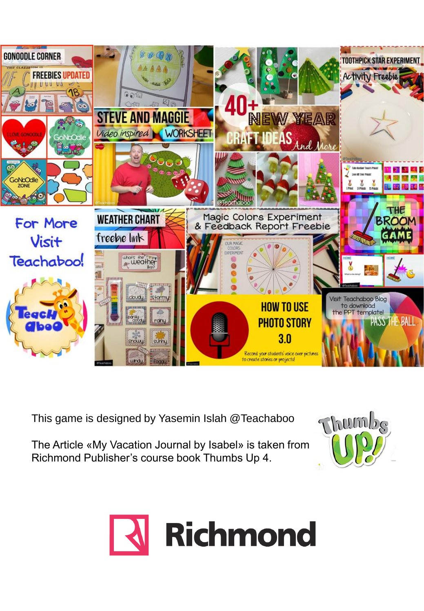

This game is designed by Yasemin Islah @Teachaboo

The Article «My Vacation Journal by Isabel» is taken from Richmond Publisher's course book Thumbs Up 4.



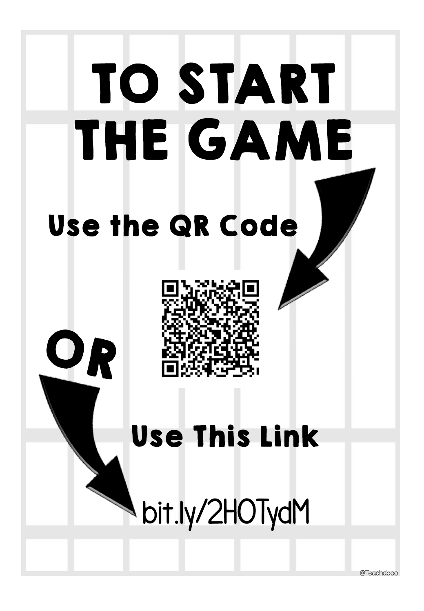

@Teachaboo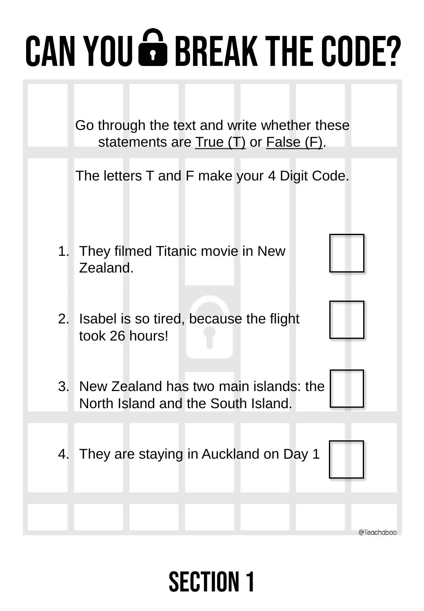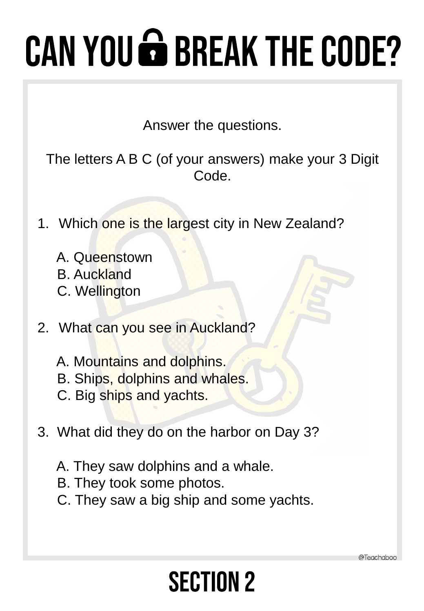Answer the questions.

The letters A B C (of your answers) make your 3 Digit Code.

- 1. Which one is the largest city in New Zealand?
	- A. Queenstown
	- B. Auckland
	- C. Wellington
- 2. What can you see in Auckland?
	- A. Mountains and dolphins.
	- B. Ships, dolphins and whales.
	- C. Big ships and yachts.
- 3. What did they do on the harbor on Day 3?
	- A. They saw dolphins and a whale.
	- B. They took some photos.
	- C. They saw a big ship and some yachts.

**SECTION 2** 

a Teachaboo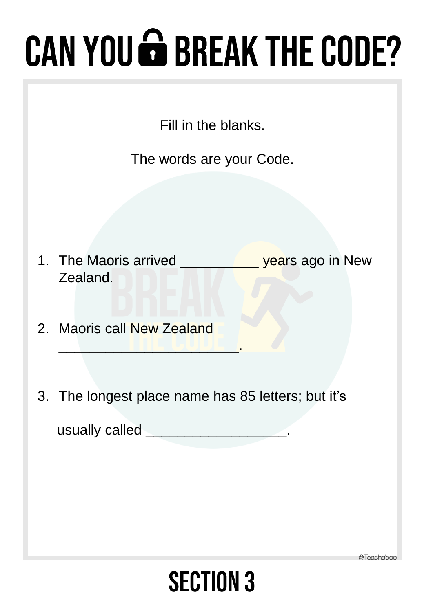Fill in the blanks.

The words are your Code.

- 1. The Maoris arrived \_\_\_\_\_\_\_\_\_\_\_\_ years ago in New Zealand.
- 2. Maoris call New Zealand

\_\_\_\_\_\_\_\_\_\_\_\_\_\_\_\_\_\_\_\_\_\_\_.

3. The longest place name has 85 letters; but it's

usually called \_\_\_\_\_\_\_\_\_\_\_\_\_\_\_\_\_\_.

@Teachaboo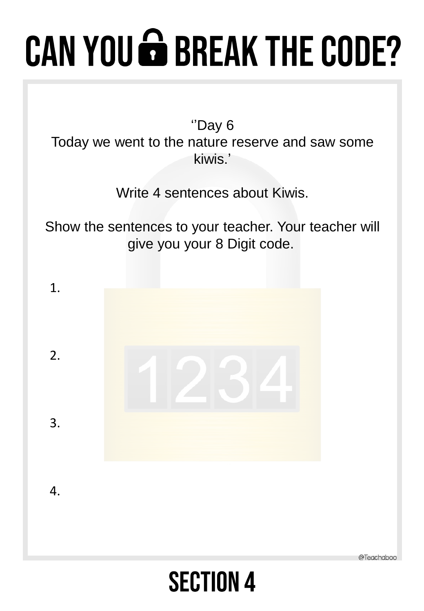''Day 6

Today we went to the nature reserve and saw some kiwis.'

Write 4 sentences about Kiwis.

Show the sentences to your teacher. Your teacher will give you your 8 Digit code.

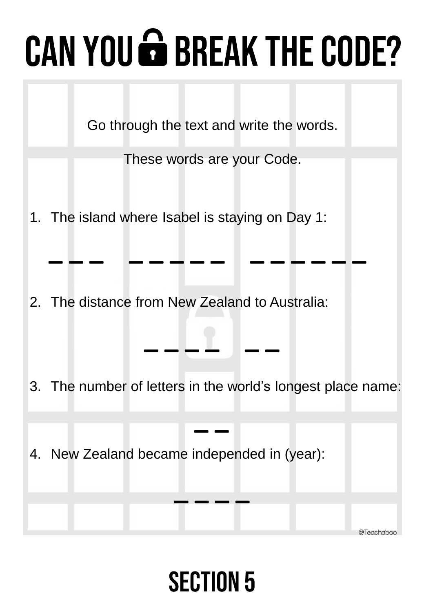Go through the text and write the words.

These words are your Code.

**\_ \_ \_ \_ \_ \_ \_ \_ \_ \_ \_ \_ \_ \_** 

1. The island where Isabel is staying on Day 1:

2. The distance from New Zealand to Australia:

3. The number of letters in the world's longest place name:

**\_ \_**

**\_ \_ \_ \_**

@Teachahoo

**\_ \_ \_ \_ \_ \_**

4. New Zealand became independed in (year):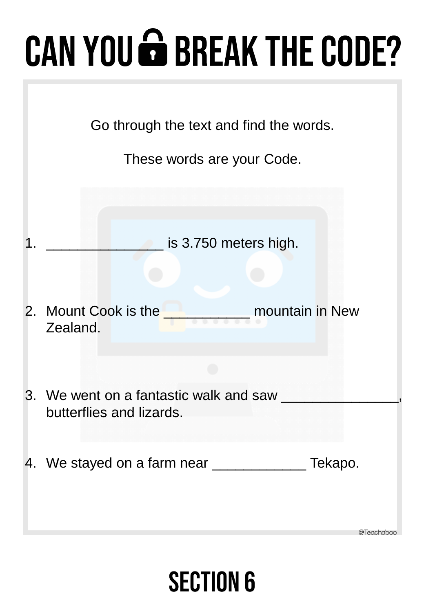| Go through the text and find the words.<br>These words are your Code.                                          |
|----------------------------------------------------------------------------------------------------------------|
| is 3.750 meters high.                                                                                          |
| 2. Mount Cook is the <b>Cook is the Cook is the Cook is the Cook</b> is the <b>mountain</b> in New<br>Zealand. |
| 3. We went on a fantastic walk and saw                                                                         |
| butterflies and lizards.                                                                                       |
| 4. We stayed on a farm near ___________<br>Tekapo.<br>@Teachaboo                                               |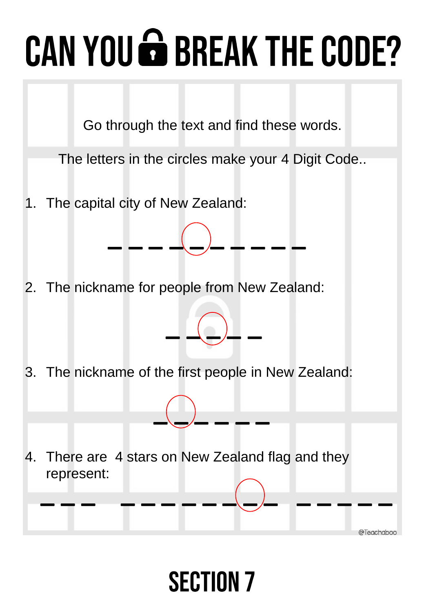Go through the text and find these words.

The letters in the circles make your 4 Digit Code..

\_ \_ \_ \_(\_)\_ \_ \_ \_ <u>\_</u>

**\_ \_(\_)\_ \_** 

1. The capital city of New Zealand:

2. The nickname for people from New Zealand:

3. The nickname of the first people in New Zealand:

4. There are 4 stars on New Zealand flag and they represent:



**\_(\_)\_ \_ \_ \_**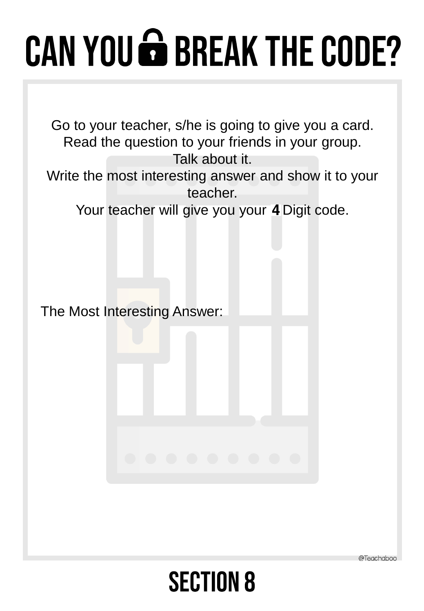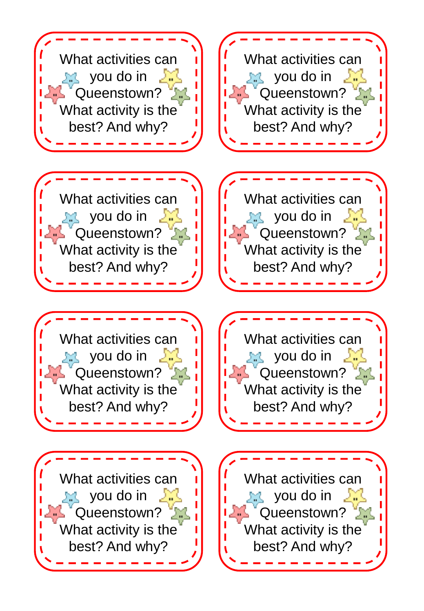